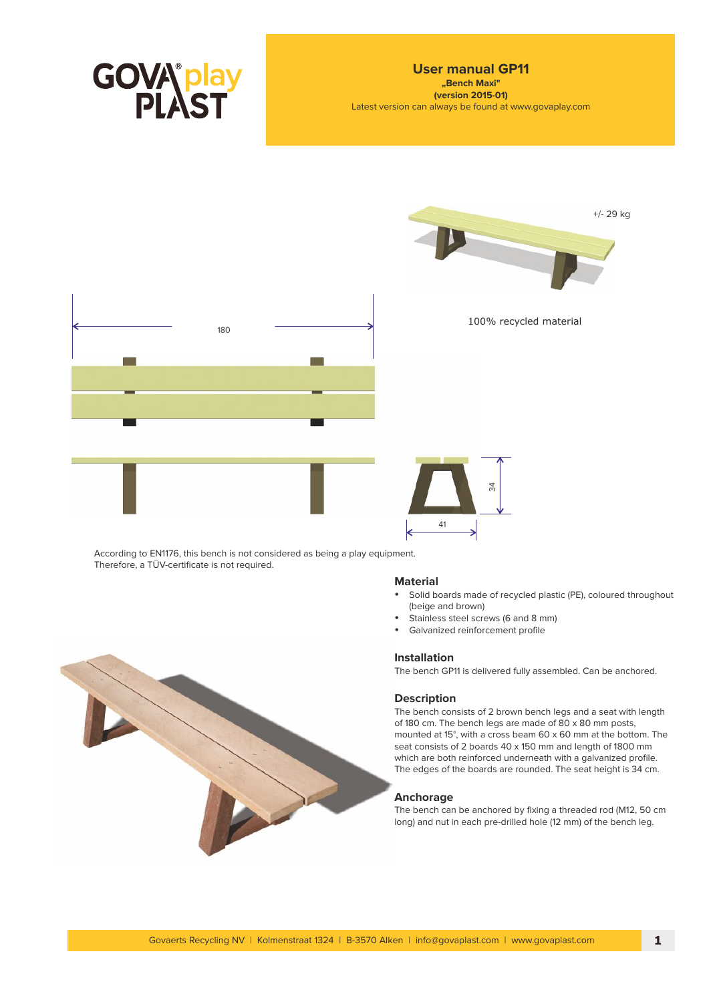



According to EN1176, this bench is not considered as being a play equipment. Therefore, a TÜV-certificate is not required.

### **Material**

- Solid boards made of recycled plastic (PE), coloured throughout (beige and brown)
- Stainless steel screws (6 and 8 mm)
- Galvanized reinforcement profile

# **Installation**

The bench GP11 is delivered fully assembled. Can be anchored.

# **Description**

The bench consists of 2 brown bench legs and a seat with length of 180 cm. The bench legs are made of 80 x 80 mm posts, mounted at 15°, with a cross beam 60 x 60 mm at the bottom. The seat consists of 2 boards 40 x 150 mm and length of 1800 mm which are both reinforced underneath with a galvanized profile. The edges of the boards are rounded. The seat height is 34 cm.

## **Anchorage**

The bench can be anchored by fixing a threaded rod (M12, 50 cm long) and nut in each pre-drilled hole (12 mm) of the bench leg.